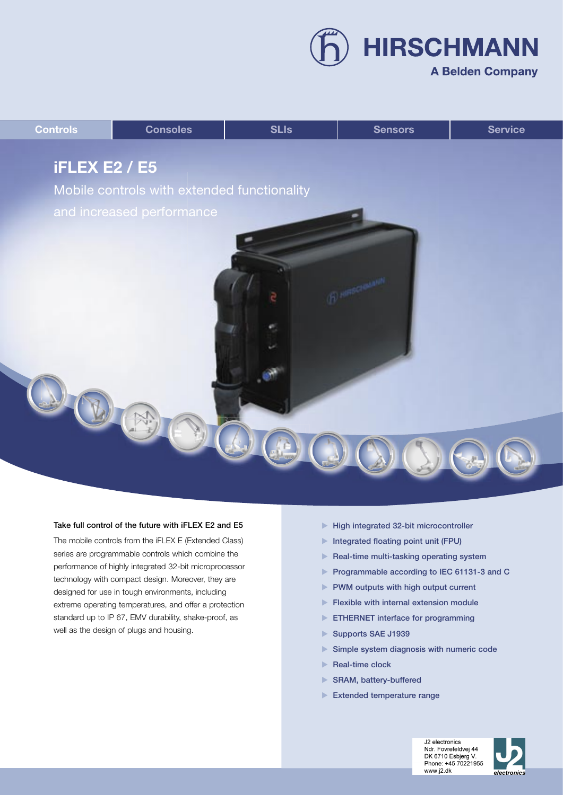**HIRSCHMANN** 

### **A Belden Company**



#### Take full control of the future with iFLEX E2 and E5

The mobile controls from the iFLEX E (Extended Class) series are programmable controls which combine the performance of highly integrated 32-bit microprocessor technology with compact design. Moreover, they are designed for use in tough environments, including extreme operating temperatures, and offer a protection standard up to IP 67, EMV durability, shake-proof, as well as the design of plugs and housing.

- High integrated 32-bit microcontroller
- Integrated floating point unit (FPU)
- $\blacktriangleright$  Real-time multi-tasking operating system
- Programmable according to IEC 61131-3 and C
- PWM outputs with high output current
- $\blacktriangleright$  Flexible with internal extension module
- **ETHERNET** interface for programming
- Supports SAE J1939
- Simple system diagnosis with numeric code
- Real-time clock
- ▶ SRAM, battery-buffered
- Extended temperature range



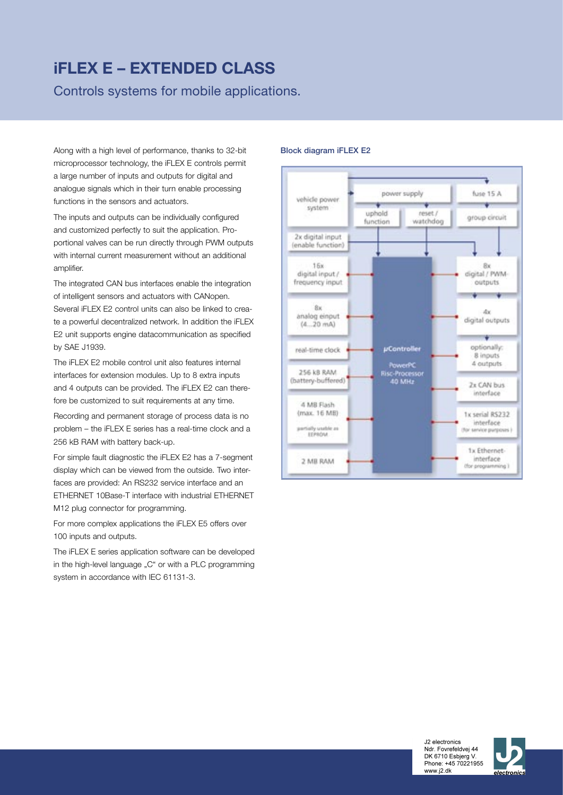## **iFLEX E – EXTENDED CLASS**

Controls systems for mobile applications.

Along with a high level of performance, thanks to 32-bit microprocessor technology, the iFLEX E controls permit a large number of inputs and outputs for digital and analogue signals which in their turn enable processing functions in the sensors and actuators.

The inputs and outputs can be individually configured and customized perfectly to suit the application. Proportional valves can be run directly through PWM outputs with internal current measurement without an additional amplifier.

The integrated CAN bus interfaces enable the integration of intelligent sensors and actuators with CANopen. Several iFLEX E2 control units can also be linked to create a powerful decentralized network. In addition the iFLEX E2 unit supports engine datacommunication as specified by SAE J1939.

The iFLEX E2 mobile control unit also features internal interfaces for extension modules. Up to 8 extra inputs and 4 outputs can be provided. The iFLEX E2 can therefore be customized to suit requirements at any time.

Recording and permanent storage of process data is no problem – the iFLEX E series has a real-time clock and a 256 kB RAM with battery back-up.

For simple fault diagnostic the iFLEX E2 has a 7-segment display which can be viewed from the outside. Two interfaces are provided: An RS232 service interface and an ETHERNET 10Base-T interface with industrial ETHERNET M12 plug connector for programming.

For more complex applications the iFLEX E5 offers over 100 inputs and outputs.

The iFLEX E series application software can be developed in the high-level language "C" or with a PLC programming system in accordance with IEC 61131-3.

#### Block diagram iFLEX E2





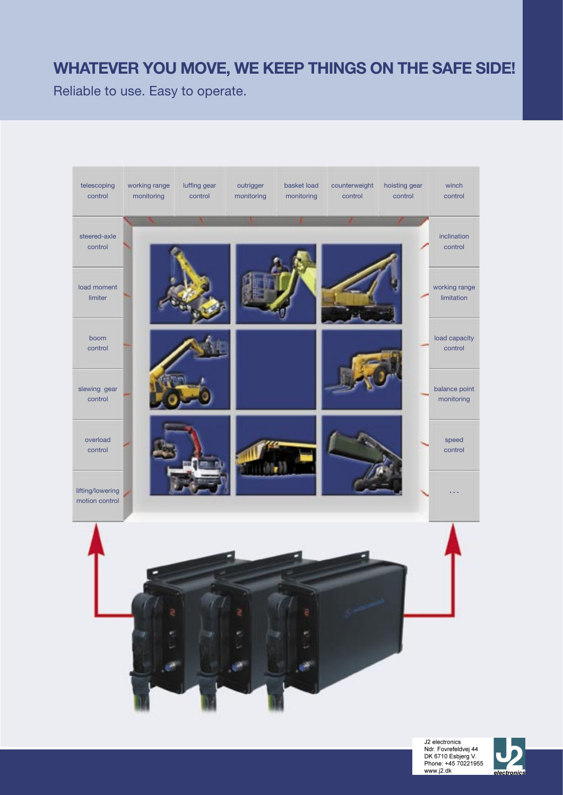### **WHATEVER YOU MOVE, WE KEEP THINGS ON THE SAFE SIDE!**

Reliable to use. Easy to operate.